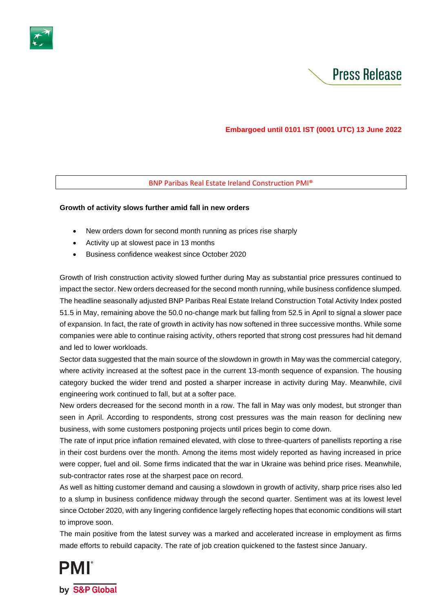



# **Embargoed until 0101 IST (0001 UTC) 13 June 2022**

## BNP Paribas Real Estate Ireland Construction PMI®

## **Growth of activity slows further amid fall in new orders**

- New orders down for second month running as prices rise sharply
- Activity up at slowest pace in 13 months
- Business confidence weakest since October 2020

Growth of Irish construction activity slowed further during May as substantial price pressures continued to impact the sector. New orders decreased for the second month running, while business confidence slumped. The headline seasonally adjusted BNP Paribas Real Estate Ireland Construction Total Activity Index posted 51.5 in May, remaining above the 50.0 no-change mark but falling from 52.5 in April to signal a slower pace of expansion. In fact, the rate of growth in activity has now softened in three successive months. While some companies were able to continue raising activity, others reported that strong cost pressures had hit demand and led to lower workloads.

Sector data suggested that the main source of the slowdown in growth in May was the commercial category, where activity increased at the softest pace in the current 13-month sequence of expansion. The housing category bucked the wider trend and posted a sharper increase in activity during May. Meanwhile, civil engineering work continued to fall, but at a softer pace.

New orders decreased for the second month in a row. The fall in May was only modest, but stronger than seen in April. According to respondents, strong cost pressures was the main reason for declining new business, with some customers postponing projects until prices begin to come down.

The rate of input price inflation remained elevated, with close to three-quarters of panellists reporting a rise in their cost burdens over the month. Among the items most widely reported as having increased in price were copper, fuel and oil. Some firms indicated that the war in Ukraine was behind price rises. Meanwhile, sub-contractor rates rose at the sharpest pace on record.

As well as hitting customer demand and causing a slowdown in growth of activity, sharp price rises also led to a slump in business confidence midway through the second quarter. Sentiment was at its lowest level since October 2020, with any lingering confidence largely reflecting hopes that economic conditions will start to improve soon.

The main positive from the latest survey was a marked and accelerated increase in employment as firms made efforts to rebuild capacity. The rate of job creation quickened to the fastest since January.

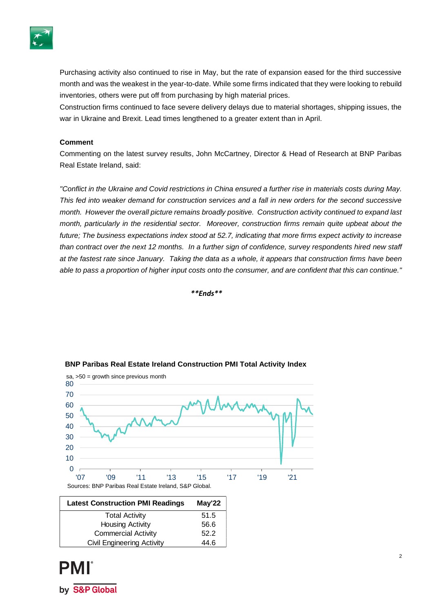

Purchasing activity also continued to rise in May, but the rate of expansion eased for the third successive month and was the weakest in the year-to-date. While some firms indicated that they were looking to rebuild inventories, others were put off from purchasing by high material prices.

Construction firms continued to face severe delivery delays due to material shortages, shipping issues, the war in Ukraine and Brexit. Lead times lengthened to a greater extent than in April.

## **Comment**

Commenting on the latest survey results, John McCartney, Director & Head of Research at BNP Paribas Real Estate Ireland, said:

*"Conflict in the Ukraine and Covid restrictions in China ensured a further rise in materials costs during May. This fed into weaker demand for construction services and a fall in new orders for the second successive month. However the overall picture remains broadly positive. Construction activity continued to expand last month, particularly in the residential sector. Moreover, construction firms remain quite upbeat about the future; The business expectations index stood at 52.7, indicating that more firms expect activity to increase than contract over the next 12 months. In a further sign of confidence, survey respondents hired new staff at the fastest rate since January. Taking the data as a whole, it appears that construction firms have been able to pass a proportion of higher input costs onto the consumer, and are confident that this can continue."*

*\*\*Ends\*\**



## **BNP Paribas Real Estate Ireland Construction PMI Total Activity Index**

| <b>Latest Construction PMI Readings</b> | May'22 |
|-----------------------------------------|--------|
| <b>Total Activity</b>                   | 51.5   |
| <b>Housing Activity</b>                 | 56.6   |
| <b>Commercial Activity</b>              | 52.2   |
| <b>Civil Engineering Activity</b>       | 44.6   |

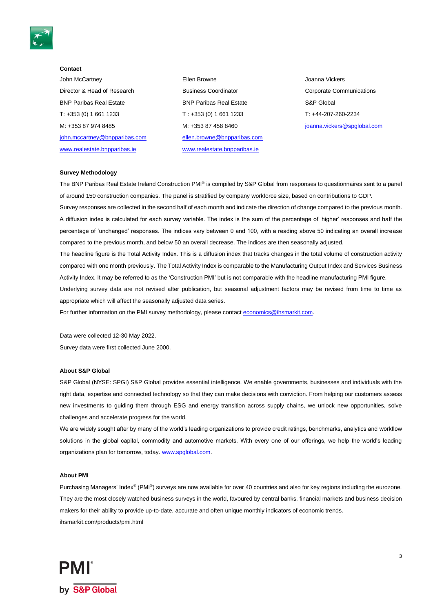

#### **Contact**

John McCartney Director & Head of Research BNP Paribas Real Estate T: +353 (0) 1 661 1233 M: +353 87 974 8485 [john.mccartney@bnpparibas.com](mailto:john.mccartney@bnpparibas.com) [www.realestate.bnpparibas.ie](http://www.realestate.bnpparibas.ie/)

Ellen Browne Business Coordinator BNP Paribas Real Estate T : +353 (0) 1 661 1233 M: +353 87 458 8460 [ellen.browne@bnpparibas.com](mailto:ellen.browne@bnpparibas.com) [www.realestate.bnpparibas.ie](http://www.realestate.bnpparibas.ie/)

Joanna Vickers Corporate Communications S&P Global T: +44-207-260-2234 [joanna.vickers@spglobal.com](mailto:joanna.vickers@spglobal.com)

#### **Survey Methodology**

The BNP Paribas Real Estate Ireland Construction PMI® is compiled by S&P Global from responses to questionnaires sent to a panel of around 150 construction companies. The panel is stratified by company workforce size, based on contributions to GDP.

Survey responses are collected in the second half of each month and indicate the direction of change compared to the previous month. A diffusion index is calculated for each survey variable. The index is the sum of the percentage of 'higher' responses and half the percentage of 'unchanged' responses. The indices vary between 0 and 100, with a reading above 50 indicating an overall increase compared to the previous month, and below 50 an overall decrease. The indices are then seasonally adjusted.

The headline figure is the Total Activity Index. This is a diffusion index that tracks changes in the total volume of construction activity compared with one month previously. The Total Activity Index is comparable to the Manufacturing Output Index and Services Business Activity Index. It may be referred to as the 'Construction PMI' but is not comparable with the headline manufacturing PMI figure.

Underlying survey data are not revised after publication, but seasonal adjustment factors may be revised from time to time as appropriate which will affect the seasonally adjusted data series.

For further information on the PMI survey methodology, please contact [economics@ihsmarkit.com.](mailto:economics@ihsmarkit.com)

Data were collected 12-30 May 2022. Survey data were first collected June 2000.

### **About S&P Global**

S&P Global (NYSE: SPGI) S&P Global provides essential intelligence. We enable governments, businesses and individuals with the right data, expertise and connected technology so that they can make decisions with conviction. From helping our customers assess new investments to guiding them through ESG and energy transition across supply chains, we unlock new opportunities, solve challenges and accelerate progress for the world.

We are widely sought after by many of the world's leading organizations to provide credit ratings, benchmarks, analytics and workflow solutions in the global capital, commodity and automotive markets. With every one of our offerings, we help the world's leading organizations plan for tomorrow, today. [www.spglobal.com.](http://www.spglobal.com/) 

#### **About PMI**

Purchasing Managers' Index<sup>®</sup> (PMI<sup>®</sup>) surveys are now available for over 40 countries and also for key regions including the eurozone. They are the most closely watched business surveys in the world, favoured by central banks, financial markets and business decision makers for their ability to provide up-to-date, accurate and often unique monthly indicators of economic trends. ihsmarkit.com/products/pmi.html